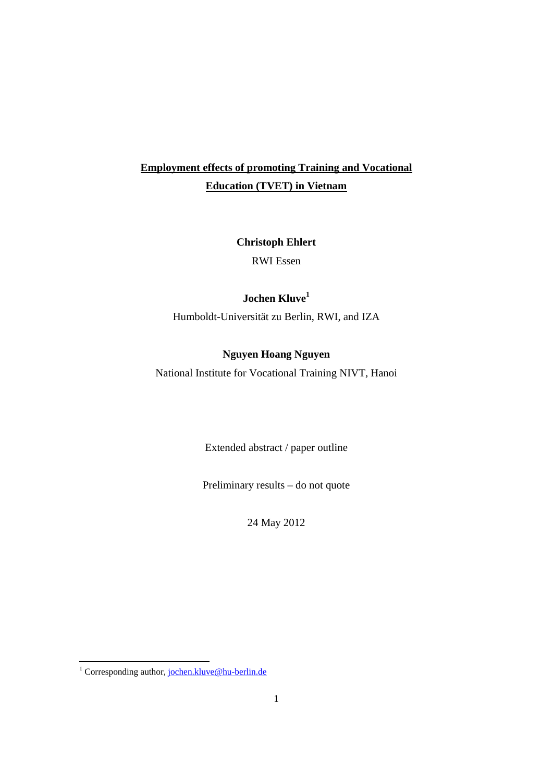# **Employment effects of promoting Training and Vocational Education (TVET) in Vietnam**

**Christoph Ehlert**  RWI Essen

## **Jochen Kluve1**

Humboldt-Universität zu Berlin, RWI, and IZA

### **Nguyen Hoang Nguyen**

National Institute for Vocational Training NIVT, Hanoi

Extended abstract / paper outline

Preliminary results – do not quote

24 May 2012

<sup>1&</sup>lt;br><sup>1</sup> Corresponding author, <u>jochen.kluve@hu-berlin.de</u>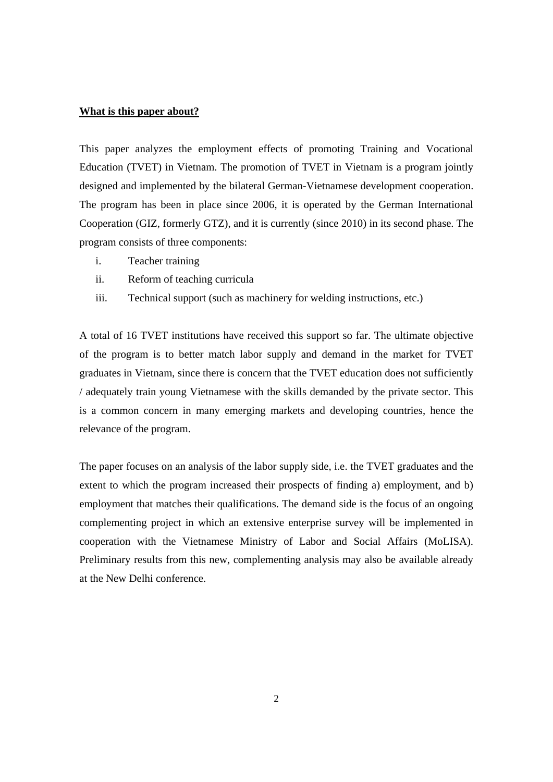#### **What is this paper about?**

This paper analyzes the employment effects of promoting Training and Vocational Education (TVET) in Vietnam. The promotion of TVET in Vietnam is a program jointly designed and implemented by the bilateral German-Vietnamese development cooperation. The program has been in place since 2006, it is operated by the German International Cooperation (GIZ, formerly GTZ), and it is currently (since 2010) in its second phase. The program consists of three components:

- i. Teacher training
- ii. Reform of teaching curricula
- iii. Technical support (such as machinery for welding instructions, etc.)

A total of 16 TVET institutions have received this support so far. The ultimate objective of the program is to better match labor supply and demand in the market for TVET graduates in Vietnam, since there is concern that the TVET education does not sufficiently / adequately train young Vietnamese with the skills demanded by the private sector. This is a common concern in many emerging markets and developing countries, hence the relevance of the program.

The paper focuses on an analysis of the labor supply side, i.e. the TVET graduates and the extent to which the program increased their prospects of finding a) employment, and b) employment that matches their qualifications. The demand side is the focus of an ongoing complementing project in which an extensive enterprise survey will be implemented in cooperation with the Vietnamese Ministry of Labor and Social Affairs (MoLISA). Preliminary results from this new, complementing analysis may also be available already at the New Delhi conference.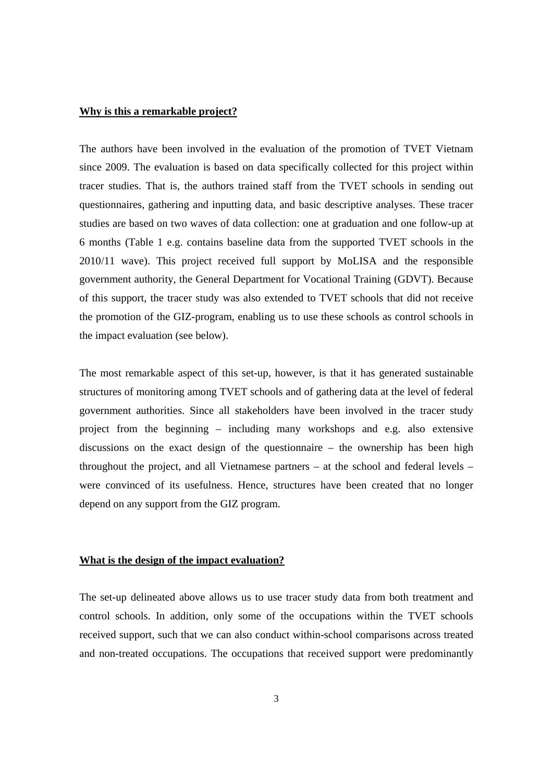#### **Why is this a remarkable project?**

The authors have been involved in the evaluation of the promotion of TVET Vietnam since 2009. The evaluation is based on data specifically collected for this project within tracer studies. That is, the authors trained staff from the TVET schools in sending out questionnaires, gathering and inputting data, and basic descriptive analyses. These tracer studies are based on two waves of data collection: one at graduation and one follow-up at 6 months (Table 1 e.g. contains baseline data from the supported TVET schools in the 2010/11 wave). This project received full support by MoLISA and the responsible government authority, the General Department for Vocational Training (GDVT). Because of this support, the tracer study was also extended to TVET schools that did not receive the promotion of the GIZ-program, enabling us to use these schools as control schools in the impact evaluation (see below).

The most remarkable aspect of this set-up, however, is that it has generated sustainable structures of monitoring among TVET schools and of gathering data at the level of federal government authorities. Since all stakeholders have been involved in the tracer study project from the beginning – including many workshops and e.g. also extensive discussions on the exact design of the questionnaire – the ownership has been high throughout the project, and all Vietnamese partners – at the school and federal levels – were convinced of its usefulness. Hence, structures have been created that no longer depend on any support from the GIZ program.

#### **What is the design of the impact evaluation?**

The set-up delineated above allows us to use tracer study data from both treatment and control schools. In addition, only some of the occupations within the TVET schools received support, such that we can also conduct within-school comparisons across treated and non-treated occupations. The occupations that received support were predominantly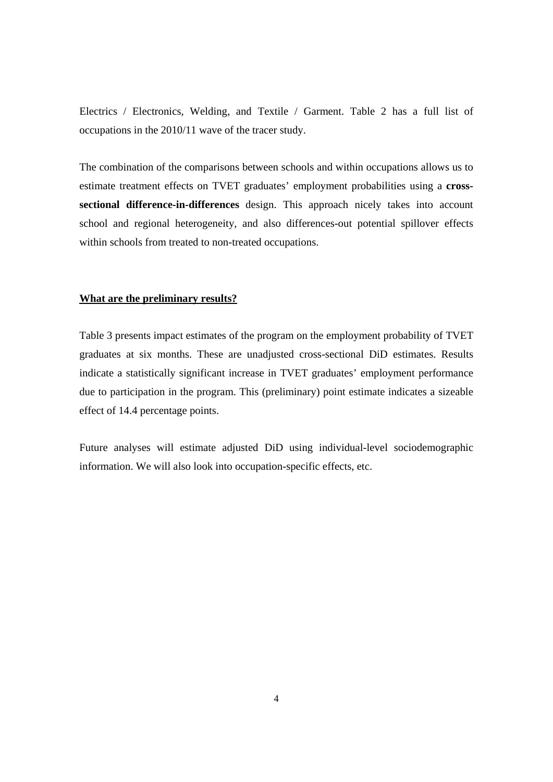Electrics / Electronics, Welding, and Textile / Garment. Table 2 has a full list of occupations in the 2010/11 wave of the tracer study.

The combination of the comparisons between schools and within occupations allows us to estimate treatment effects on TVET graduates' employment probabilities using a **crosssectional difference-in-differences** design. This approach nicely takes into account school and regional heterogeneity, and also differences-out potential spillover effects within schools from treated to non-treated occupations.

#### **What are the preliminary results?**

Table 3 presents impact estimates of the program on the employment probability of TVET graduates at six months. These are unadjusted cross-sectional DiD estimates. Results indicate a statistically significant increase in TVET graduates' employment performance due to participation in the program. This (preliminary) point estimate indicates a sizeable effect of 14.4 percentage points.

Future analyses will estimate adjusted DiD using individual-level sociodemographic information. We will also look into occupation-specific effects, etc.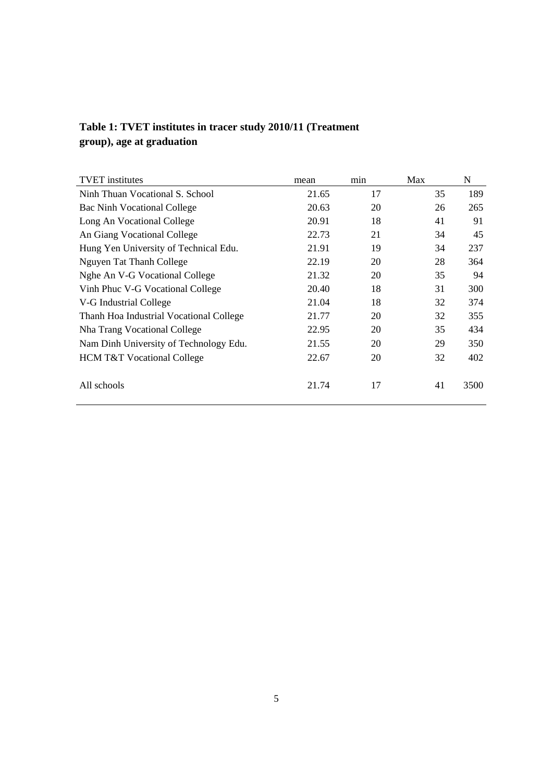| Table 1: TVET institutes in tracer study 2010/11 (Treatment |  |  |
|-------------------------------------------------------------|--|--|
| group), age at graduation                                   |  |  |

| <b>TVET</b> institutes                  | mean  | min | Max | N    |
|-----------------------------------------|-------|-----|-----|------|
| Ninh Thuan Vocational S. School         | 21.65 | 17  | 35  | 189  |
| <b>Bac Ninh Vocational College</b>      | 20.63 | 20  | 26  | 265  |
| Long An Vocational College              | 20.91 | 18  | 41  | 91   |
| An Giang Vocational College             | 22.73 | 21  | 34  | 45   |
| Hung Yen University of Technical Edu.   | 21.91 | 19  | 34  | 237  |
| Nguyen Tat Thanh College                | 22.19 | 20  | 28  | 364  |
| Nghe An V-G Vocational College          | 21.32 | 20  | 35  | 94   |
| Vinh Phuc V-G Vocational College        | 20.40 | 18  | 31  | 300  |
| V-G Industrial College                  | 21.04 | 18  | 32  | 374  |
| Thanh Hoa Industrial Vocational College | 21.77 | 20  | 32  | 355  |
| Nha Trang Vocational College            | 22.95 | 20  | 35  | 434  |
| Nam Dinh University of Technology Edu.  | 21.55 | 20  | 29  | 350  |
| <b>HCM T&amp;T Vocational College</b>   | 22.67 | 20  | 32  | 402  |
| All schools                             | 21.74 | 17  | 41  | 3500 |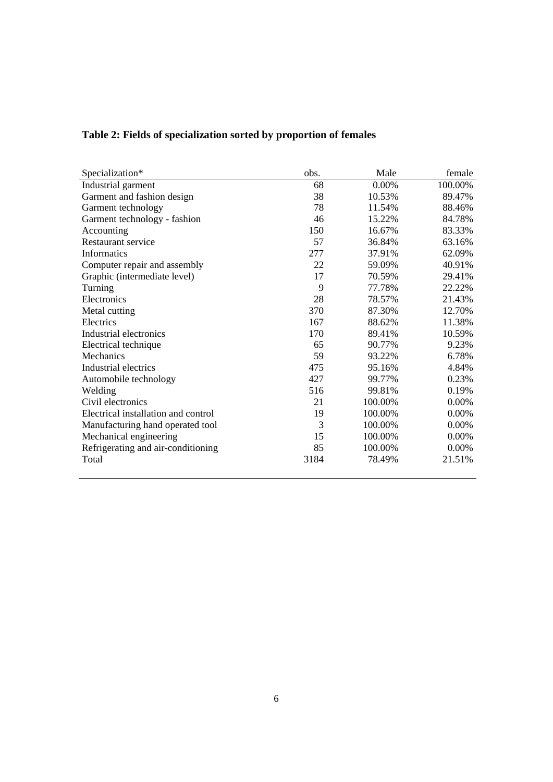| Specialization*                     | obs. | Male    | female  |
|-------------------------------------|------|---------|---------|
| Industrial garment                  | 68   | 0.00%   | 100.00% |
| Garment and fashion design          | 38   | 10.53%  | 89.47%  |
| Garment technology                  | 78   | 11.54%  | 88.46%  |
| Garment technology - fashion        | 46   | 15.22%  | 84.78%  |
| Accounting                          | 150  | 16.67%  | 83.33%  |
| Restaurant service                  | 57   | 36.84%  | 63.16%  |
| Informatics                         | 277  | 37.91%  | 62.09%  |
| Computer repair and assembly        | 22   | 59.09%  | 40.91%  |
| Graphic (intermediate level)        | 17   | 70.59%  | 29.41%  |
| Turning                             | 9    | 77.78%  | 22.22%  |
| Electronics                         | 28   | 78.57%  | 21.43%  |
| Metal cutting                       | 370  | 87.30%  | 12.70%  |
| Electrics                           | 167  | 88.62%  | 11.38%  |
| Industrial electronics              | 170  | 89.41%  | 10.59%  |
| Electrical technique                | 65   | 90.77%  | 9.23%   |
| Mechanics                           | 59   | 93.22%  | 6.78%   |
| Industrial electrics                | 475  | 95.16%  | 4.84%   |
| Automobile technology               | 427  | 99.77%  | 0.23%   |
| Welding                             | 516  | 99.81%  | 0.19%   |
| Civil electronics                   | 21   | 100.00% | 0.00%   |
| Electrical installation and control | 19   | 100.00% | 0.00%   |
| Manufacturing hand operated tool    | 3    | 100.00% | 0.00%   |
| Mechanical engineering              | 15   | 100.00% | 0.00%   |
| Refrigerating and air-conditioning  | 85   | 100.00% | 0.00%   |
| Total                               | 3184 | 78.49%  | 21.51%  |

# **Table 2: Fields of specialization sorted by proportion of females**